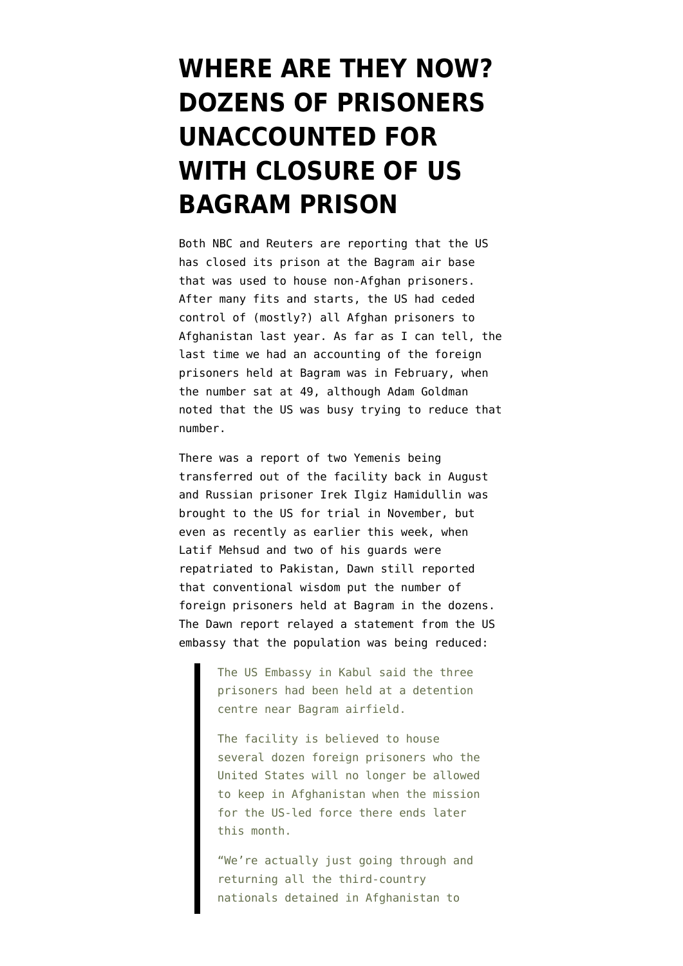## **[WHERE ARE THEY NOW?](https://www.emptywheel.net/2014/12/11/where-are-they-now-dozens-of-prisoners-unaccounted-for-with-closure-of-us-bagram-prison/) [DOZENS OF PRISONERS](https://www.emptywheel.net/2014/12/11/where-are-they-now-dozens-of-prisoners-unaccounted-for-with-closure-of-us-bagram-prison/) [UNACCOUNTED FOR](https://www.emptywheel.net/2014/12/11/where-are-they-now-dozens-of-prisoners-unaccounted-for-with-closure-of-us-bagram-prison/) [WITH CLOSURE OF US](https://www.emptywheel.net/2014/12/11/where-are-they-now-dozens-of-prisoners-unaccounted-for-with-closure-of-us-bagram-prison/) [BAGRAM PRISON](https://www.emptywheel.net/2014/12/11/where-are-they-now-dozens-of-prisoners-unaccounted-for-with-closure-of-us-bagram-prison/)**

Both [NBC](http://www.nbcnews.com/storyline/cia-torture-report/u-s-closes-bagram-detention-center-hands-over-last-afghan-n265851) and [Reuters](http://www.reuters.com/article/2014/12/11/us-usa-cia-torture-bagram-idUSKBN0JO2B720141211) are reporting that the US has closed its prison at the Bagram air base that was used to house non-Afghan prisoners. After many fits and starts, the [US had ceded](https://www.emptywheel.net/2013/03/25/once-again-us-pretends-to-hand-over-control-of-parwan-prison-holds-back-some-prisoners/) [control of \(mostly?\) all Afghan prisoners to](https://www.emptywheel.net/2013/03/25/once-again-us-pretends-to-hand-over-control-of-parwan-prison-holds-back-some-prisoners/) [Afghanistan last year](https://www.emptywheel.net/2013/03/25/once-again-us-pretends-to-hand-over-control-of-parwan-prison-holds-back-some-prisoners/). As far as I can tell, the last time we had an accounting of the foreign prisoners held at Bagram was in [February, when](http://www.washingtonpost.com/world/national-security/us-quietly-whittles-down-foreign-detainee-population-at-facility-in-afghanistan/2014/02/25/ea52adfc-9a43-11e3-b931-0204122c514b_story.html) [the number sat at 49](http://www.washingtonpost.com/world/national-security/us-quietly-whittles-down-foreign-detainee-population-at-facility-in-afghanistan/2014/02/25/ea52adfc-9a43-11e3-b931-0204122c514b_story.html), although Adam Goldman noted that the US was busy trying to reduce that number.

There was a report of [two Yemenis being](http://news.yahoo.com/us-transfers-2-yemenis-held-bagram-prison-214645331.html) [transferred out of the facility back in August](http://news.yahoo.com/us-transfers-2-yemenis-held-bagram-prison-214645331.html) and Russian prisoner [Irek Ilgiz Hamidullin was](http://english.alarabiya.net/en/News/world/2014/11/05/First-Afghanistan-foreign-fighter-in-U-S-for-trial.html) [brought to the US for trial in November,](http://english.alarabiya.net/en/News/world/2014/11/05/First-Afghanistan-foreign-fighter-in-U-S-for-trial.html) but even as recently as earlier this week, when [Latif Mehsud](https://www.emptywheel.net/2013/10/11/us-grabs-pakistan-taliban-representative-from-afghan-authorities-preventing-peace-talks/) and two of his guards were repatriated to Pakistan, [Dawn still reported](http://www.dawn.com/news/1149479) that conventional wisdom put the number of foreign prisoners held at Bagram in the dozens. The Dawn report relayed a statement from the US embassy that the population was being reduced:

> The US Embassy in Kabul said the three prisoners had been held at a detention centre near Bagram airfield.

The facility is believed to house several dozen foreign prisoners who the United States will no longer be allowed to keep in Afghanistan when the mission for the US-led force there ends later this month.

"We're actually just going through and returning all the third-country nationals detained in Afghanistan to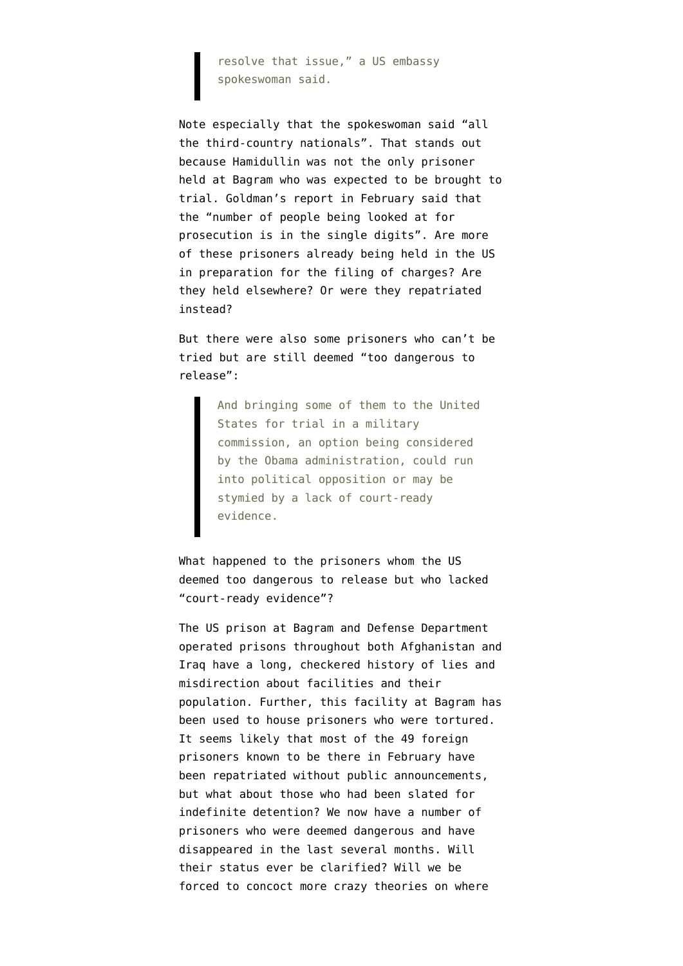resolve that issue," a US embassy spokeswoman said.

Note especially that the spokeswoman said "all the third-country nationals". That stands out because Hamidullin was not the only prisoner held at Bagram who was expected to be brought to trial. Goldman's report in February said that the "number of people being looked at for prosecution is in the single digits". Are more of these prisoners already being held in the US in preparation for the filing of charges? Are they held elsewhere? Or were they repatriated instead?

But there were also some prisoners who can't be tried but are still deemed "too dangerous to release":

> And bringing some of them to the United States for trial in a military commission, an option being considered by the Obama administration, could run into political opposition or may be stymied by a lack of court-ready evidence.

What happened to the prisoners whom the US deemed too dangerous to release but who lacked "court-ready evidence"?

The US prison at Bagram and Defense Department operated prisons throughout both Afghanistan and Iraq have a long, checkered history of lies and misdirection about facilities and their population. Further, this facility at Bagram has been [used to house prisoners who were tortured.](http://tribune.com.pk/story/805262/cia-torture-report-little-comfort-to-pakistani-detainee/) It seems likely that most of the 49 foreign prisoners known to be there in February have been repatriated without public announcements, but what about those who had been slated for indefinite detention? We now have a number of prisoners who were deemed dangerous and have disappeared in the last several months. Will their status ever be clarified? Will we be forced to concoct [more crazy theories](https://www.emptywheel.net/2014/09/09/did-afghan-and-pakistani-isis-recruits-really-expect-to-travel-length-of-iran/) on where